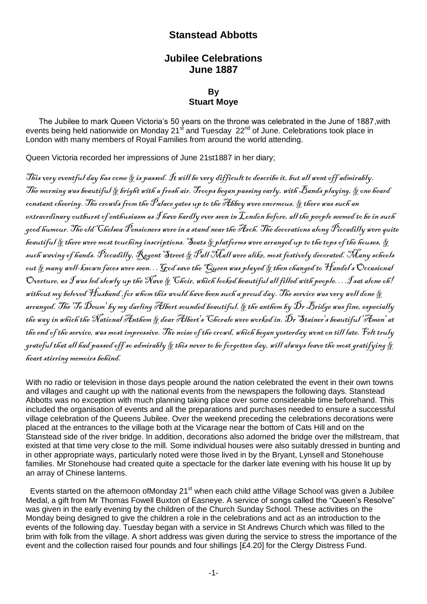## **Stanstead Abbotts**

## **Jubilee Celebrations June 1887**

## **By Stuart Moye**

 The Jubilee to mark Queen Victoria's 50 years on the throne was celebrated in the June of 1887,with events being held nationwide on Monday 21<sup>st</sup> and Tuesday 22<sup>nd</sup> of June. Celebrations took place in London with many members of Royal Families from around the world attending.

Queen Victoria recorded her impressions of June 21st1887 in her diary;

This very eventful day has come  $\S$  is passed. It will be very difficult to describe it, but all went off admirably. The morning was beautiful  $\&$  bright with a fresh air. Troops began passing early, with Bands playing,  $\&$  one heard constant cheering. The crowds from the  $\mathscr{P}$ alace gates up to the Abbey were enormous,  $\mathscr{\S}$  there was such an extraordinary outburst of enthusiasm as  $\hat{J}$ have hardly ever seen in  $\cal L$ ondon before, all the people seemed to be in such good humour. The old Chelsea Pensioners were in a stand near the Arch. The decorations along Piccadilly were quite beautiful & there were most touching inscriptions. Seats & platforms were arranged up to the tops of the houses, & such waving of hands. Piccadilly, Regent Street & Pall Mall were alike, most festively decorated. Many schools out & many well-known faces were seen. . . God save the "Queen was played & then changed to Handel's Occasional Overture, as  $\mathcal f$ was led slowly up the Nave & Choir, which looked beautiful all filled with people….I sat alone oh! without my beloved  $\mathcal H$ usband , for whom this would have been such a proud day. The service was very well done  $\&$ arranged. The 'Te  $\tilde{D}$ eum' by my darling Albert sounded beautiful,  $\S$  the anthem by  $\tilde{D}$ r Bridge was fine, especially the way in which the National Anthem & dear Albert's Chorale were worked in. Dr Stainer's beautiful 'Amen' at the end of the service, was most impressive. The noise of the crowd, which began yesterday went on till late. Felt truly grateful that all had passed off so admirably  $\&$  this never to be forgotten day, will always leave the most gratifying  $\&$ heart stirring memoirs behind.

With no radio or television in those days people around the nation celebrated the event in their own towns and villages and caught up with the national events from the newspapers the following days. Stanstead Abbotts was no exception with much planning taking place over some considerable time beforehand. This included the organisation of events and all the preparations and purchases needed to ensure a successful village celebration of the Queens Jubilee. Over the weekend preceding the celebrations decorations were placed at the entrances to the village both at the Vicarage near the bottom of Cats Hill and on the Stanstead side of the river bridge. In addition, decorations also adorned the bridge over the millstream, that existed at that time very close to the mill. Some individual houses were also suitably dressed in bunting and in other appropriate ways, particularly noted were those lived in by the Bryant, Lynsell and Stonehouse families. Mr Stonehouse had created quite a spectacle for the darker late evening with his house lit up by an array of Chinese lanterns.

Events started on the afternoon ofMonday 21<sup>st</sup> when each child atthe Village School was given a Jubilee Medal, a gift from Mr Thomas Fowell Buxton of Easneye. A service of songs called the "Queen's Resolve" was given in the early evening by the children of the Church Sunday School. These activities on the Monday being designed to give the children a role in the celebrations and act as an introduction to the events of the following day. Tuesday began with a service in St Andrews Church which was filled to the brim with folk from the village. A short address was given during the service to stress the importance of the event and the collection raised four pounds and four shillings [£4.20] for the Clergy Distress Fund.